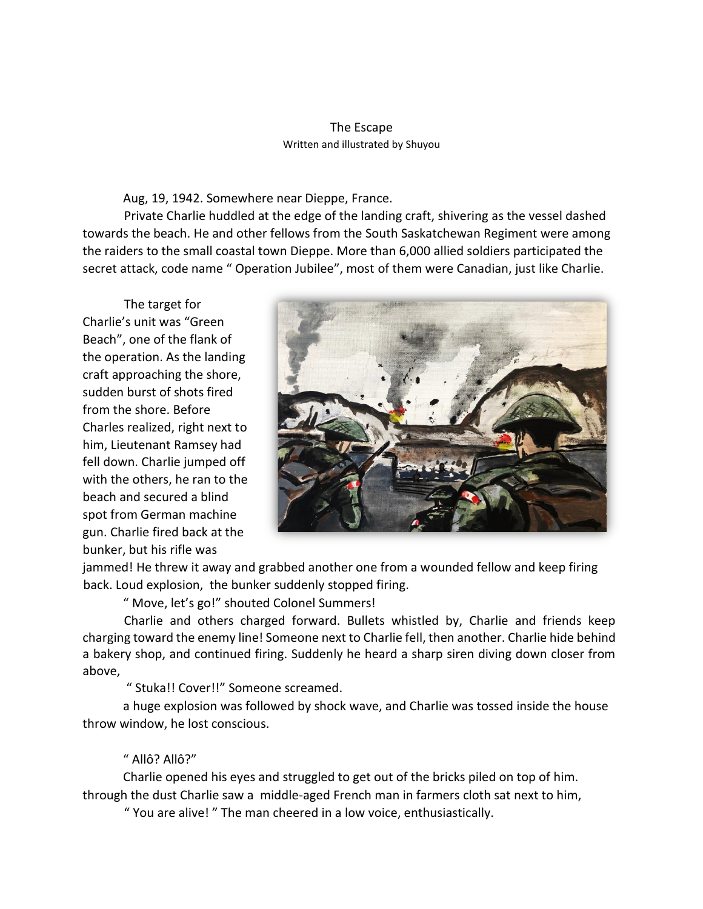## The Escape Written and illustrated by Shuyou

Aug, 19, 1942. Somewhere near Dieppe, France.

Private Charlie huddled at the edge of the landing craft, shivering as the vessel dashed towards the beach. He and other fellows from the South Saskatchewan Regiment were among the raiders to the small coastal town Dieppe. More than 6,000 allied soldiers participated the secret attack, code name " Operation Jubilee", most of them were Canadian, just like Charlie.

The target for Charlie's unit was "Green Beach", one of the flank of the operation. As the landing craft approaching the shore, sudden burst of shots fired from the shore. Before Charles realized, right next to him, Lieutenant Ramsey had fell down. Charlie jumped off with the others, he ran to the beach and secured a blind spot from German machine gun. Charlie fired back at the bunker, but his rifle was



jammed! He threw it away and grabbed another one from a wounded fellow and keep firing back. Loud explosion, the bunker suddenly stopped firing.

" Move, let's go!" shouted Colonel Summers!

Charlie and others charged forward. Bullets whistled by, Charlie and friends keep charging toward the enemy line! Someone next to Charlie fell, then another. Charlie hide behind a bakery shop, and continued firing. Suddenly he heard a sharp siren diving down closer from above,

" Stuka!! Cover!!" Someone screamed.

a huge explosion was followed by shock wave, and Charlie was tossed inside the house throw window, he lost conscious.

## " Allô? Allô?"

Charlie opened his eyes and struggled to get out of the bricks piled on top of him. through the dust Charlie saw a middle-aged French man in farmers cloth sat next to him,

" You are alive! " The man cheered in a low voice, enthusiastically.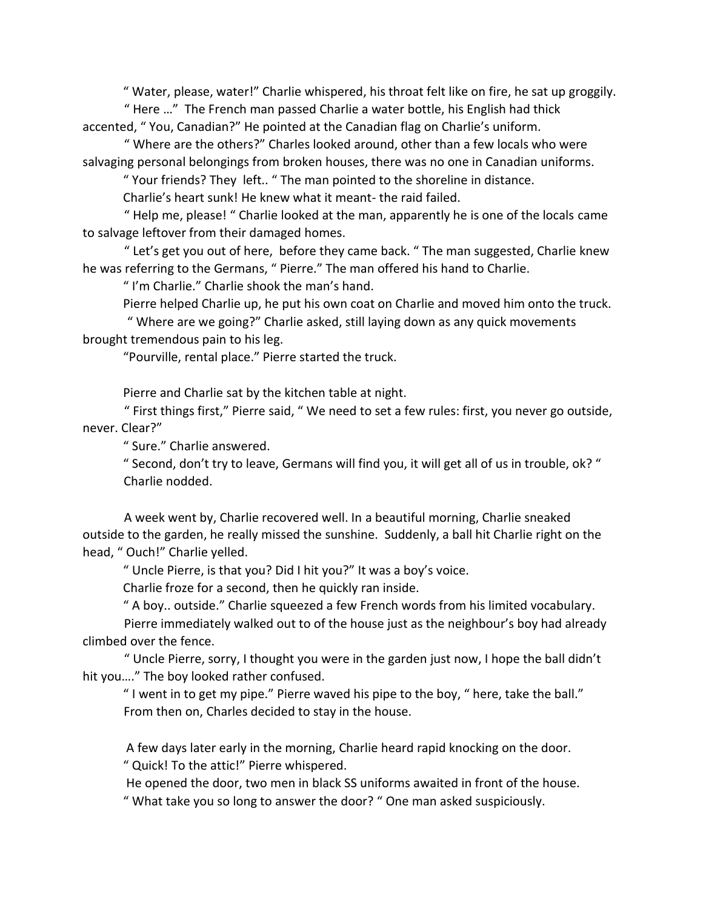" Water, please, water!" Charlie whispered, his throat felt like on fire, he sat up groggily.

" Here …" The French man passed Charlie a water bottle, his English had thick accented, " You, Canadian?" He pointed at the Canadian flag on Charlie's uniform.

" Where are the others?" Charles looked around, other than a few locals who were salvaging personal belongings from broken houses, there was no one in Canadian uniforms.

" Your friends? They left.. " The man pointed to the shoreline in distance.

Charlie's heart sunk! He knew what it meant- the raid failed.

" Help me, please! " Charlie looked at the man, apparently he is one of the locals came to salvage leftover from their damaged homes.

" Let's get you out of here, before they came back. " The man suggested, Charlie knew he was referring to the Germans, " Pierre." The man offered his hand to Charlie.

" I'm Charlie." Charlie shook the man's hand.

Pierre helped Charlie up, he put his own coat on Charlie and moved him onto the truck.

" Where are we going?" Charlie asked, still laying down as any quick movements brought tremendous pain to his leg.

"Pourville, rental place." Pierre started the truck.

Pierre and Charlie sat by the kitchen table at night.

" First things first," Pierre said, " We need to set a few rules: first, you never go outside, never. Clear?"

" Sure." Charlie answered.

" Second, don't try to leave, Germans will find you, it will get all of us in trouble, ok? " Charlie nodded.

A week went by, Charlie recovered well. In a beautiful morning, Charlie sneaked outside to the garden, he really missed the sunshine. Suddenly, a ball hit Charlie right on the head, " Ouch!" Charlie yelled.

" Uncle Pierre, is that you? Did I hit you?" It was a boy's voice.

Charlie froze for a second, then he quickly ran inside.

" A boy.. outside." Charlie squeezed a few French words from his limited vocabulary.

Pierre immediately walked out to of the house just as the neighbour's boy had already climbed over the fence.

" Uncle Pierre, sorry, I thought you were in the garden just now, I hope the ball didn't hit you…." The boy looked rather confused.

" I went in to get my pipe." Pierre waved his pipe to the boy, " here, take the ball." From then on, Charles decided to stay in the house.

A few days later early in the morning, Charlie heard rapid knocking on the door.

" Quick! To the attic!" Pierre whispered.

He opened the door, two men in black SS uniforms awaited in front of the house.

" What take you so long to answer the door? " One man asked suspiciously.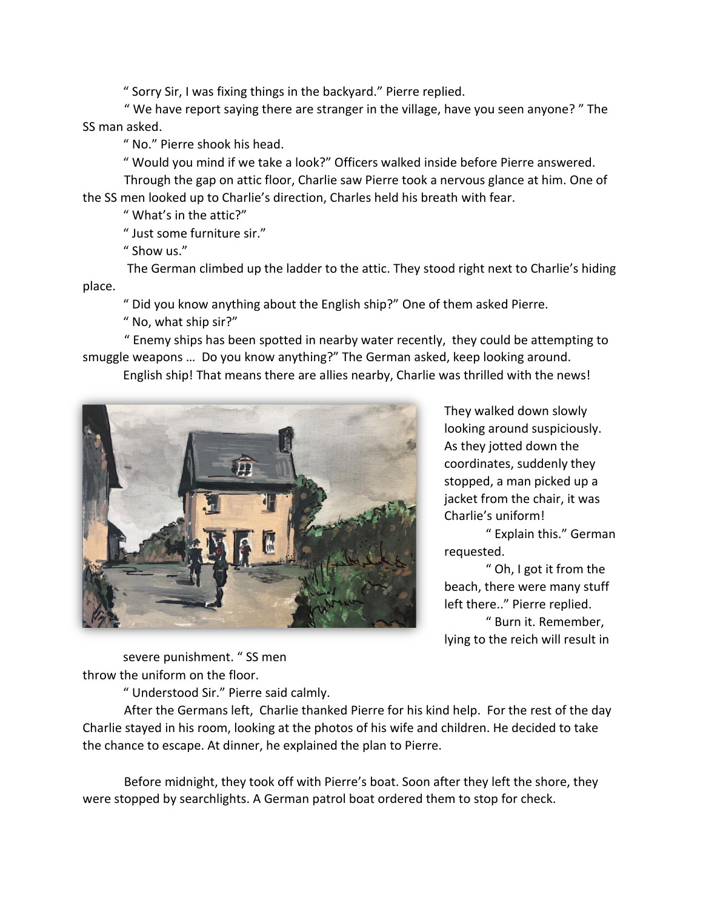" Sorry Sir, I was fixing things in the backyard." Pierre replied.

" We have report saying there are stranger in the village, have you seen anyone? " The SS man asked.

" No." Pierre shook his head.

" Would you mind if we take a look?" Officers walked inside before Pierre answered.

Through the gap on attic floor, Charlie saw Pierre took a nervous glance at him. One of the SS men looked up to Charlie's direction, Charles held his breath with fear.

" What's in the attic?"

" Just some furniture sir."

" Show us."

The German climbed up the ladder to the attic. They stood right next to Charlie's hiding place.

" Did you know anything about the English ship?" One of them asked Pierre.

" No, what ship sir?"

" Enemy ships has been spotted in nearby water recently, they could be attempting to smuggle weapons … Do you know anything?" The German asked, keep looking around.

English ship! That means there are allies nearby, Charlie was thrilled with the news!



They walked down slowly looking around suspiciously. As they jotted down the coordinates, suddenly they stopped, a man picked up a jacket from the chair, it was Charlie's uniform!

" Explain this." German requested.

" Oh, I got it from the beach, there were many stuff left there.." Pierre replied. " Burn it. Remember, lying to the reich will result in

severe punishment. " SS men throw the uniform on the floor.

" Understood Sir." Pierre said calmly.

After the Germans left, Charlie thanked Pierre for his kind help. For the rest of the day Charlie stayed in his room, looking at the photos of his wife and children. He decided to take the chance to escape. At dinner, he explained the plan to Pierre.

Before midnight, they took off with Pierre's boat. Soon after they left the shore, they were stopped by searchlights. A German patrol boat ordered them to stop for check.